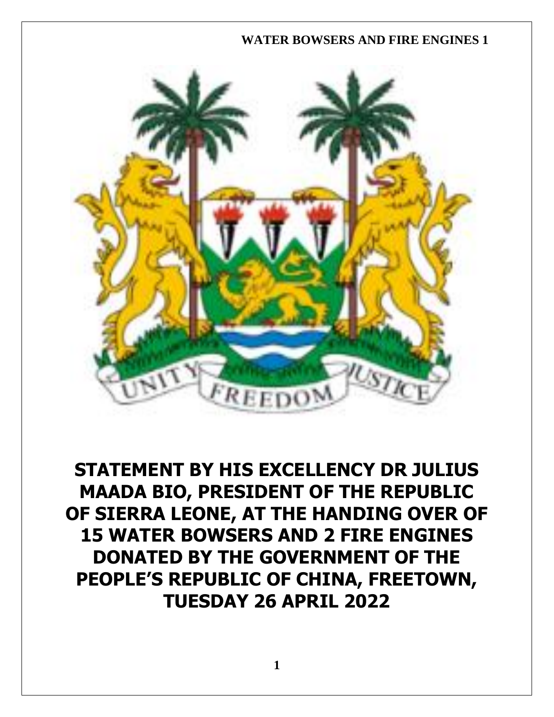## **WATER BOWSERS AND FIRE ENGINES 1**



**STATEMENT BY HIS EXCELLENCY DR JULIUS MAADA BIO, PRESIDENT OF THE REPUBLIC OF SIERRA LEONE, AT THE HANDING OVER OF 15 WATER BOWSERS AND 2 FIRE ENGINES DONATED BY THE GOVERNMENT OF THE PEOPLE'S REPUBLIC OF CHINA, FREETOWN, TUESDAY 26 APRIL 2022**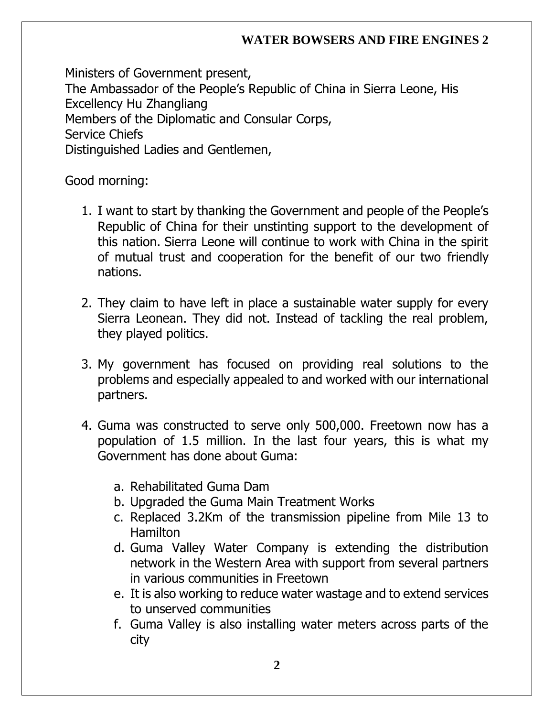## **WATER BOWSERS AND FIRE ENGINES 2**

Ministers of Government present, The Ambassador of the People's Republic of China in Sierra Leone, His Excellency Hu Zhangliang Members of the Diplomatic and Consular Corps, Service Chiefs Distinguished Ladies and Gentlemen,

Good morning:

- 1. I want to start by thanking the Government and people of the People's Republic of China for their unstinting support to the development of this nation. Sierra Leone will continue to work with China in the spirit of mutual trust and cooperation for the benefit of our two friendly nations.
- 2. They claim to have left in place a sustainable water supply for every Sierra Leonean. They did not. Instead of tackling the real problem, they played politics.
- 3. My government has focused on providing real solutions to the problems and especially appealed to and worked with our international partners.
- 4. Guma was constructed to serve only 500,000. Freetown now has a population of 1.5 million. In the last four years, this is what my Government has done about Guma:
	- a. Rehabilitated Guma Dam
	- b. Upgraded the Guma Main Treatment Works
	- c. Replaced 3.2Km of the transmission pipeline from Mile 13 to Hamilton
	- d. Guma Valley Water Company is extending the distribution network in the Western Area with support from several partners in various communities in Freetown
	- e. It is also working to reduce water wastage and to extend services to unserved communities
	- f. Guma Valley is also installing water meters across parts of the city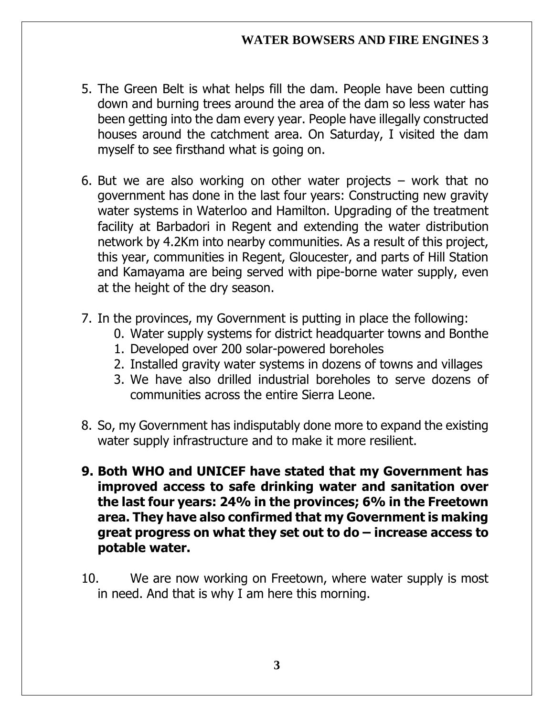## **WATER BOWSERS AND FIRE ENGINES 3**

- 5. The Green Belt is what helps fill the dam. People have been cutting down and burning trees around the area of the dam so less water has been getting into the dam every year. People have illegally constructed houses around the catchment area. On Saturday, I visited the dam myself to see firsthand what is going on.
- 6. But we are also working on other water projects  $-$  work that no government has done in the last four years: Constructing new gravity water systems in Waterloo and Hamilton. Upgrading of the treatment facility at Barbadori in Regent and extending the water distribution network by 4.2Km into nearby communities. As a result of this project, this year, communities in Regent, Gloucester, and parts of Hill Station and Kamayama are being served with pipe-borne water supply, even at the height of the dry season.
- 7. In the provinces, my Government is putting in place the following:
	- 0. Water supply systems for district headquarter towns and Bonthe
	- 1. Developed over 200 solar-powered boreholes
	- 2. Installed gravity water systems in dozens of towns and villages
	- 3. We have also drilled industrial boreholes to serve dozens of communities across the entire Sierra Leone.
- 8. So, my Government has indisputably done more to expand the existing water supply infrastructure and to make it more resilient.
- **9. Both WHO and UNICEF have stated that my Government has improved access to safe drinking water and sanitation over the last four years: 24% in the provinces; 6% in the Freetown area. They have also confirmed that my Government is making great progress on what they set out to do – increase access to potable water.**
- 10. We are now working on Freetown, where water supply is most in need. And that is why I am here this morning.